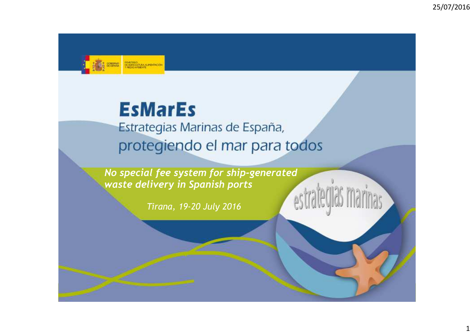

# **EsMarEs**

Estrategias Marinas de España, protegiendo el mar para todos

*No special fee system for ship-generated generated waste delivery in Spanish ports*

*Tirana, 19-20 July <sup>2016</sup>*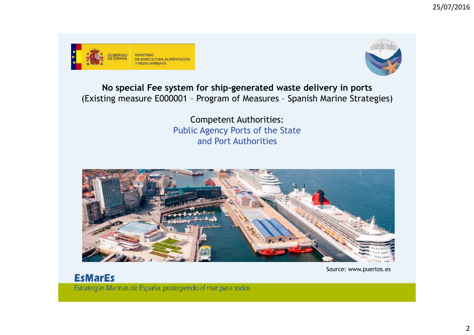



**No special Fee system for ship-generated waste delivery in ports** (Existing measure E000001 – Program of Measures – Spanish Marine Strategies)

> Competent Authorities: Public Agency Ports of the State and Port Authorities



Source: www.puertos.es

# **EsMarEs**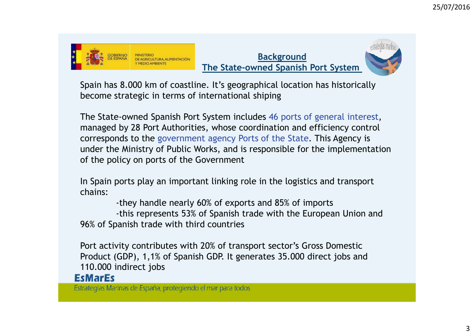





Spain has 8.000 km of coastline. It's geographical location has historically become strategic in terms of international shiping

The State-owned Spanish Port System includes 46 ports of general interest, managed by 28 Port Authorities, whose coordination and efficiency control corresponds to the government agency Ports of the State. This Agency is under the Ministry of Public Works, and is responsible for the implementation of the policy on ports of the Government

In Spain ports play an important linking role in the logistics and transport chains:

-they handle nearly 60% of exports and 85% of imports

 -this represents 53% of Spanish trade with the European Union and 96% of Spanish trade with third countries

Port activity contributes with 20% of transport sector's Gross Domestic Product (GDP), 1,1% of Spanish GDP. It generates 35.000 direct jobs and 110.000 indirect jobs

#### **EsMarEs**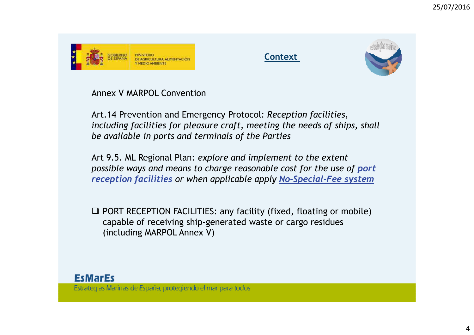





Annex V MARPOL Convention

Art.14 Prevention and Emergency Protocol: *Reception facilities, including facilities for pleasure craft, meeting the needs of ships, shall be available in ports and terminals of the Parties* 

Art 9.5. ML Regional Plan: *explore and implement to the extent possible ways and means to charge reasonable cost for the use of port reception facilities or when applicable apply No-Special-Fee system*

**Q PORT RECEPTION FACILITIES: any facility (fixed, floating or mobile)**<br>Canable of recojving ship generated waste or cargo residues capable of receiving ship-generated waste or cargo residues (including MARPOL Annex V)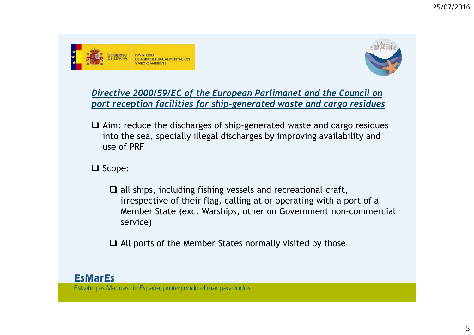



### *Directive 2000/59/EC of the European Parlimanet and the Council on port reception facilities for ship-generated waste and cargo residues*

 $\Box$  Aim: reduce the discharges of ship-generated waste and cargo residues into the sea specially illogal discharges by improving availability and into the sea, specially illegal discharges by improving availability and use of PRF

 $\Box$  Scope:

 $\Box$  all ships, including fishing vessels and recreational craft,<br>irrespective of their flag, calling at or operating with a pe irrespective of their flag, calling at or operating with a port of a Member State (exc. Warships, other on Government non-commercial service)

 $\Box$  All ports of the Member States normally visited by those

### **EsMarEs**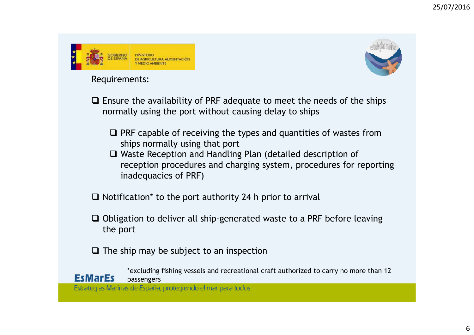



#### Requirements:

- $\Box$  Ensure the availability of PRF adequate to meet the needs of the ships normally using the port without causing delay to ships normally using the port without causing delay to ships
	- $\Box$  PRF capable of receiving the types and quantities of wastes from ships permally using that port ships normally using that port
	- □ Waste Reception and Handling Plan (detailed description of<br>reception procedures and charging system, procedures for r reception procedures and charging system, procedures for reporting inadequacies of PRF)
- $\Box$  Notification\* to the port authority 24 h prior to arrival
- **□** Obligation to deliver all ship-generated waste to a PRF before leaving the port the port
- $\square$  The ship may be subject to an inspection

\*excluding fishing vessels and recreational craft authorized to carry no more than 12 EcMarEc passengersEstrategias Marinas de España, protegiendo el mar para todos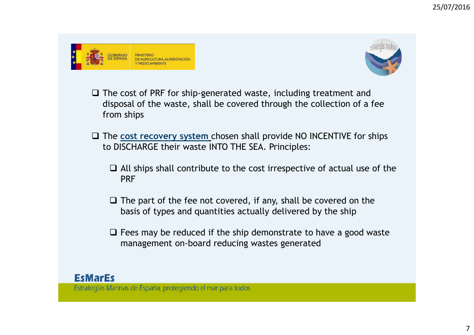



- The cost of PRF for ship-generated waste, including treatment and<br>disposal of the waste, shall be covered through the collection of a f disposal of the waste, shall be covered through the collection of a fee from ships
- The cost recovery system chosen shall provide NO INCENTIVE for ships<br>to DISCHARGE thoir wasto INTO THE SEA, Principles: to DISCHARGE their waste INTO THE SEA. Principles:
	- $\Box$  All ships shall contribute to the cost irrespective of actual use of the ppF PRF
	- $\Box$  The part of the fee not covered, if any, shall be covered on the hasis of types and quantities actually delivered by the ship basis of types and quantities actually delivered by the ship
	- $\Box$  Fees may be reduced if the ship demonstrate to have a good waste management on board reducing wastes generated management on-board reducing wastes generated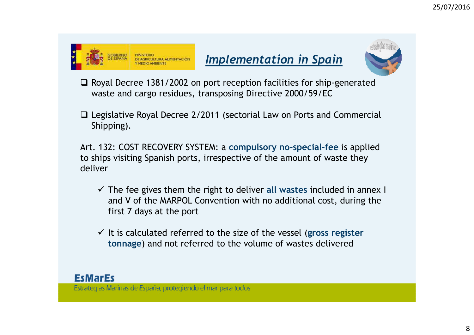



- $\Box$  Royal Decree 1381/2002 on port reception facilities for ship-generated waste and cargo residues, transposing Directive 2000/59/EC waste and cargo residues, transposing Directive 2000/59/EC
- □ Legislative Royal Decree 2/2011 (sectorial Law on Ports and Commercial<br>Shipping) Shipping).

Art. 132: COST RECOVERY SYSTEM: a **compulsory no-special-fee** is applied to ships visiting Spanish ports, irrespective of the amount of waste they deliver

- The fee gives them the right to deliver **all wastes** included in annex I and V of the MARPOL Convention with no additional cost, during the first 7 days at the port
- It is calculated referred to the size of the vessel (**gross register tonnage**) and not referred to the volume of wastes delivered

### **EsMarEs**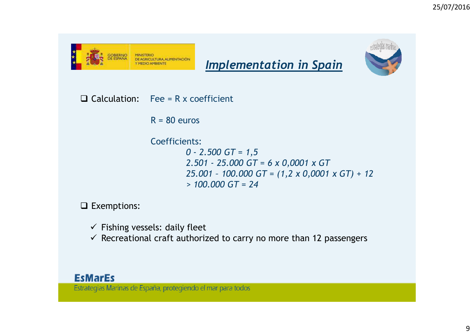



*Implementation in Spain*

 $\Box$  Calculation: Fee = R x coefficient

 $R = 80$  euros

#### Coefficients:

*0 - 2.500 GT = 1,5 2.501 - 25.000 GT = 6 x 0,0001 x GT 25.001 – 100.000 GT = (1,2 x 0,0001 x GT) + 12> 100.000 GT = 24*

 $\Box$  Exemptions:

- <del>√</del> Fishing vessels: daily fleet
- $\checkmark$  Recreational craft authorized to carry no more than 12 passengers

#### **EsMarEs**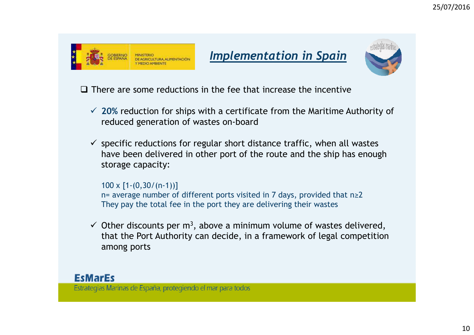





 $\Box$  There are some reductions in the fee that increase the incentive

- **20%** reduction for ships with a certificate from the Maritime Authority of reduced generation of wastes on-board
- $\checkmark$  specific reductions for regular short distance traffic, when all wastes<br>have been delivered in other part of the reute and the ship bes enough have been delivered in other port of the route and the ship has enough storage capacity:

100 x [1-(0,30/(n-1))]

n= average number of different ports visited in 7 days, provided that n≥2They pay the total fee in the port they are delivering their wastes

Up Other discounts per  $m^3$ , above a minimum volume of wastes delivered,<br>that the Pert Authority can decide in a framework of local competition that the Port Authority can decide, in a framework of legal competition among ports

### **EsMarEs**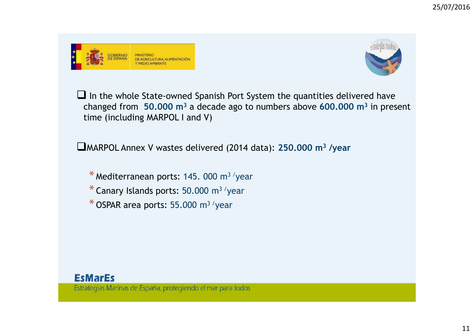



**I** In the whole State-owned Spanish Port System the quantities delivered have changed from  $\overline{50.000}$  m<sup>3</sup> a decade ago to numbers above 600.000 m<sup>3</sup> in presention. changed from **50.000 m<sup>3</sup>** a decade ago to numbers above **600.000 m<sup>3</sup>** in present time (including MARPOL I and V)

MARPOL Annex V wastes delivered (2014 data): **250.000 m<sup>3</sup> /year**

 $*$  Mediterranean ports: 145. 000 m<sup>3</sup> /year

 $*$  Canary Islands ports: 50.000 m<sup>3</sup> /year

 $*$  OSPAR area ports: 55.000 m<sup>3</sup> /year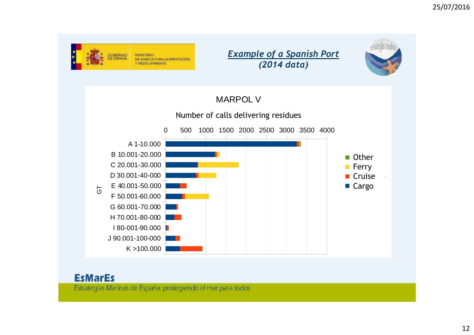





# MARPOL V

## Number of calls delivering residues



### **EsMarEs**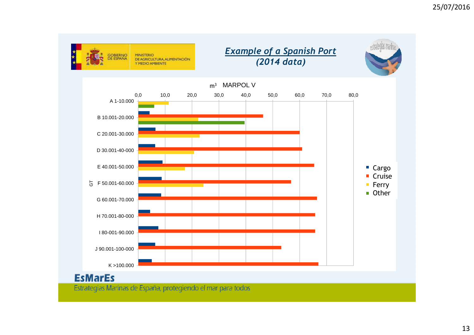

#### **EsMarEs**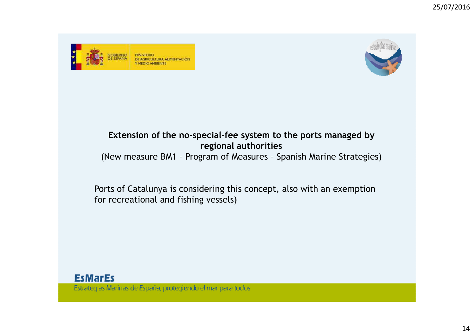



## **Extension of the no-special-fee system to the ports managed by regional authorities**(New measure BM1 – Program of Measures – Spanish Marine Strategies)

Ports of Catalunya is considering this concept, also with an exemption for recreational and fishing vessels)